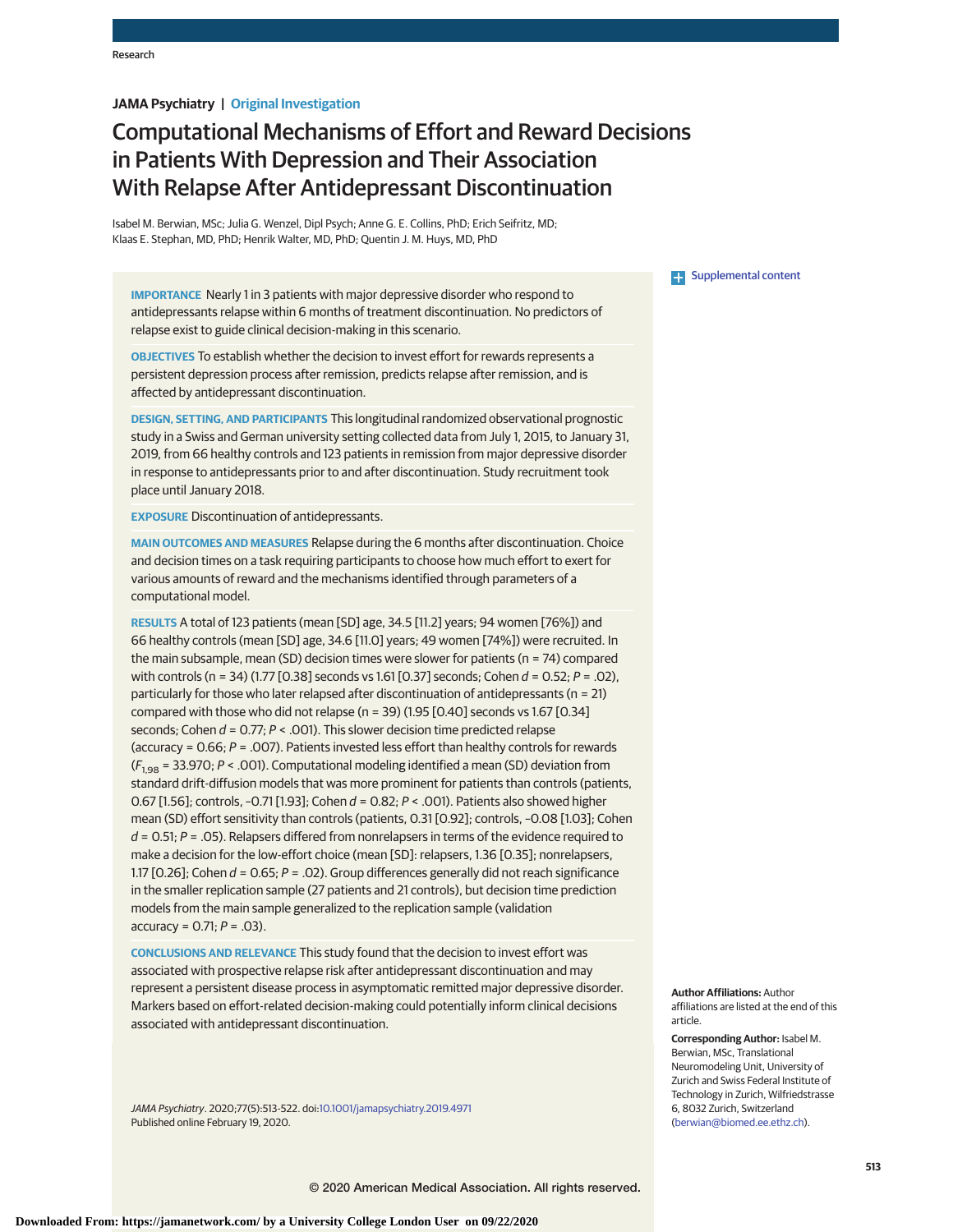# **JAMA Psychiatry | Original Investigation**

# Computational Mechanisms of Effort and Reward Decisions in Patients With Depression and Their Association With Relapse After Antidepressant Discontinuation

Isabel M. Berwian, MSc; Julia G. Wenzel, Dipl Psych; Anne G. E. Collins, PhD; Erich Seifritz, MD; Klaas E. Stephan, MD, PhD; Henrik Walter, MD, PhD; Quentin J. M. Huys, MD, PhD

**IMPORTANCE** Nearly 1 in 3 patients with major depressive disorder who respond to antidepressants relapse within 6 months of treatment discontinuation. No predictors of relapse exist to guide clinical decision-making in this scenario.

**OBJECTIVES** To establish whether the decision to invest effort for rewards represents a persistent depression process after remission, predicts relapse after remission, and is affected by antidepressant discontinuation.

**DESIGN, SETTING, AND PARTICIPANTS** This longitudinal randomized observational prognostic study in a Swiss and German university setting collected data from July 1, 2015, to January 31, 2019, from 66 healthy controls and 123 patients in remission from major depressive disorder in response to antidepressants prior to and after discontinuation. Study recruitment took place until January 2018.

**EXPOSURE** Discontinuation of antidepressants.

**MAIN OUTCOMES AND MEASURES** Relapse during the 6 months after discontinuation. Choice and decision times on a task requiring participants to choose how much effort to exert for various amounts of reward and the mechanisms identified through parameters of a computational model.

**RESULTS** A total of 123 patients (mean [SD] age, 34.5 [11.2] years; 94 women [76%]) and 66 healthy controls (mean [SD] age, 34.6 [11.0] years; 49 women [74%]) were recruited. In the main subsample, mean (SD) decision times were slower for patients ( $n = 74$ ) compared with controls (n = 34) (1.77 [0.38] seconds vs 1.61 [0.37] seconds; Cohen d = 0.52; P = .02), particularly for those who later relapsed after discontinuation of antidepressants (n = 21) compared with those who did not relapse ( $n = 39$ ) (1.95 [0.40] seconds vs 1.67 [0.34] seconds; Cohen  $d = 0.77$ ;  $P < .001$ ). This slower decision time predicted relapse (accuracy =  $0.66; P = .007$ ). Patients invested less effort than healthy controls for rewards  $(F<sub>1.98</sub> = 33.970; P < .001)$ . Computational modeling identified a mean (SD) deviation from standard drift-diffusion models that was more prominent for patients than controls (patients, 0.67 [1.56]; controls, -0.71 [1.93]; Cohen  $d = 0.82$ ;  $P < .001$ ). Patients also showed higher mean (SD) effort sensitivity than controls (patients, 0.31 [0.92]; controls, –0.08 [1.03]; Cohen  $d = 0.51; P = .05$ ). Relapsers differed from nonrelapsers in terms of the evidence required to make a decision for the low-effort choice (mean [SD]: relapsers, 1.36 [0.35]; nonrelapsers, 1.17 [0.26]; Cohen  $d = 0.65$ ;  $P = .02$ ). Group differences generally did not reach significance in the smaller replication sample (27 patients and 21 controls), but decision time prediction models from the main sample generalized to the replication sample (validation  $accuracy = 0.71; P = .03$ ).

**CONCLUSIONS AND RELEVANCE** This study found that the decision to invest effort was associated with prospective relapse risk after antidepressant discontinuation and may represent a persistent disease process in asymptomatic remitted major depressive disorder. Markers based on effort-related decision-making could potentially inform clinical decisions associated with antidepressant discontinuation.

JAMA Psychiatry. 2020;77(5):513-522. doi[:10.1001/jamapsychiatry.2019.4971](https://jamanetwork.com/journals/jama/fullarticle/10.1001/jamapsychiatry.2019.4971?utm_campaign=articlePDF%26utm_medium=articlePDFlink%26utm_source=articlePDF%26utm_content=jamapsychiatry.2019.4971) Published online February 19, 2020.

**Examplemental content** 

**Author Affiliations:** Author affiliations are listed at the end of this article.

**Corresponding Author:** Isabel M. Berwian, MSc, Translational Neuromodeling Unit, University of Zurich and Swiss Federal Institute of Technology in Zurich, Wilfriedstrasse 6, 8032 Zurich, Switzerland [\(berwian@biomed.ee.ethz.ch\)](mailto:berwian@biomed.ee.ethz.ch).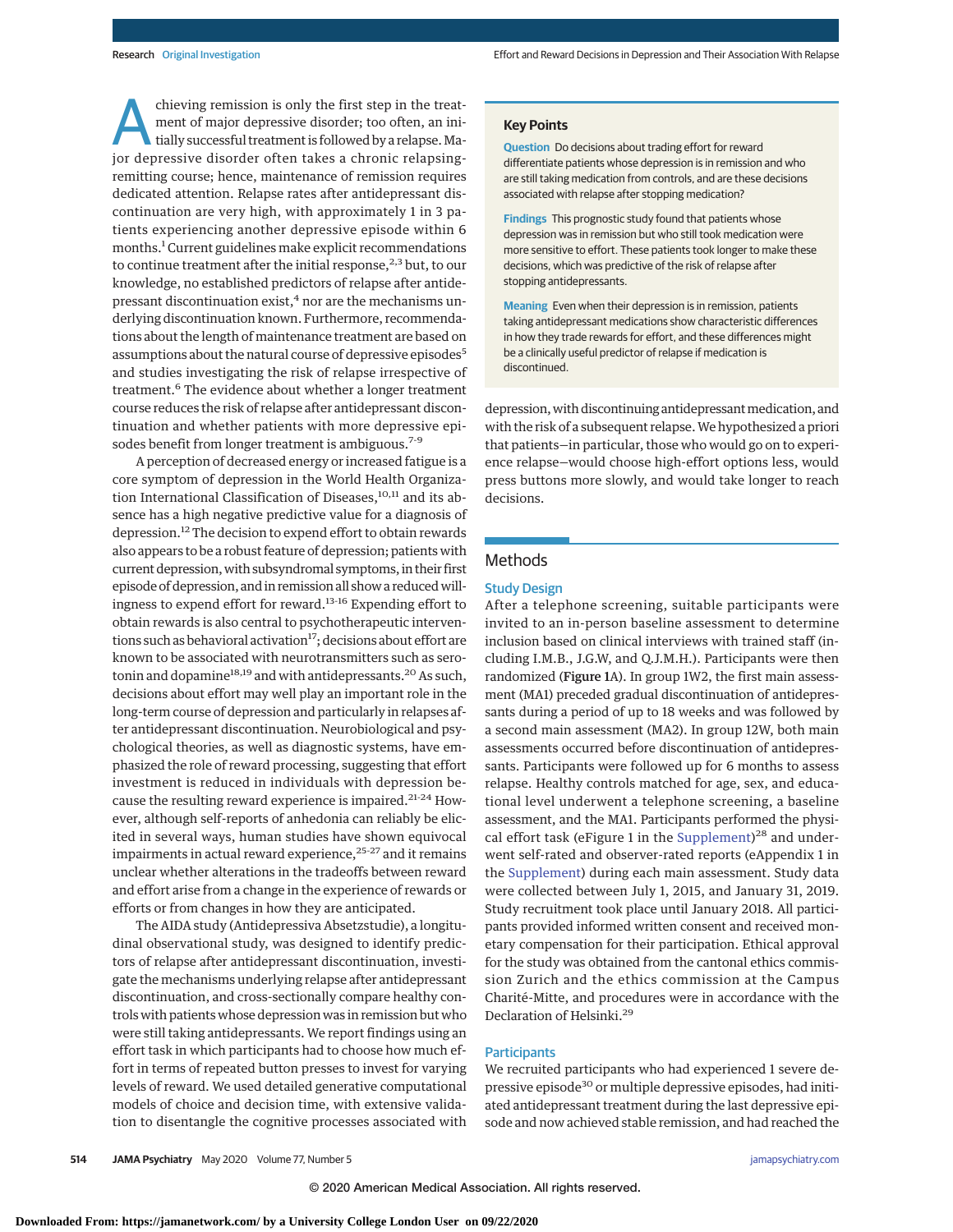chieving remission is only the first step in the treat-<br>ment of major depressive disorder; too often, an ini-<br>tially successful treatment is followed by a relapse. Ma-<br>ior depressive disorder often takes a chronic relapsin ment of major depressive disorder; too often, an inijor depressive disorder often takes a chronic relapsingremitting course; hence, maintenance of remission requires dedicated attention. Relapse rates after antidepressant discontinuation are very high, with approximately 1 in 3 patients experiencing another depressive episode within 6 months.<sup>1</sup> Current guidelines make explicit recommendations to continue treatment after the initial response, $2,3$  but, to our knowledge, no established predictors of relapse after antidepressant discontinuation exist,<sup>4</sup> nor are the mechanisms underlying discontinuation known. Furthermore, recommendations about the length of maintenance treatment are based on assumptions about the natural course of depressive episodes<sup>5</sup> and studies investigating the risk of relapse irrespective of treatment.<sup>6</sup> The evidence about whether a longer treatment course reduces the risk of relapse after antidepressant discontinuation and whether patients with more depressive episodes benefit from longer treatment is ambiguous.<sup>7-9</sup>

A perception of decreased energy or increased fatigue is a core symptom of depression in the World Health Organization International Classification of Diseases, $10,11$  and its absence has a high negative predictive value for a diagnosis of depression.<sup>12</sup> The decision to expend effort to obtain rewards also appears to be a robust feature of depression; patients with current depression,with subsyndromal symptoms, in their first episode of depression, and in remission all show a reduced willingness to expend effort for reward.13-16 Expending effort to obtain rewards is also central to psychotherapeutic interventions such as behavioral activation<sup>17</sup>; decisions about effort are known to be associated with neurotransmitters such as serotonin and dopamine<sup>18,19</sup> and with antidepressants.<sup>20</sup> As such, decisions about effort may well play an important role in the long-term course of depression and particularly in relapses after antidepressant discontinuation. Neurobiological and psychological theories, as well as diagnostic systems, have emphasized the role of reward processing, suggesting that effort investment is reduced in individuals with depression because the resulting reward experience is impaired.21-24 However, although self-reports of anhedonia can reliably be elicited in several ways, human studies have shown equivocal impairments in actual reward experience, $25-27$  and it remains unclear whether alterations in the tradeoffs between reward and effort arise from a change in the experience of rewards or efforts or from changes in how they are anticipated.

The AIDA study (Antidepressiva Absetzstudie), a longitudinal observational study, was designed to identify predictors of relapse after antidepressant discontinuation, investigate the mechanisms underlying relapse after antidepressant discontinuation, and cross-sectionally compare healthy controls with patients whose depression was in remission but who were still taking antidepressants. We report findings using an effort task in which participants had to choose how much effort in terms of repeated button presses to invest for varying levels of reward. We used detailed generative computational models of choice and decision time, with extensive validation to disentangle the cognitive processes associated with

## **Key Points**

**Question** Do decisions about trading effort for reward differentiate patients whose depression is in remission and who are still taking medication from controls, and are these decisions associated with relapse after stopping medication?

**Findings** This prognostic study found that patients whose depression was in remission but who still took medication were more sensitive to effort. These patients took longer to make these decisions, which was predictive of the risk of relapse after stopping antidepressants.

**Meaning** Even when their depression is in remission, patients taking antidepressant medications show characteristic differences in how they trade rewards for effort, and these differences might be a clinically useful predictor of relapse if medication is discontinued.

depression, with discontinuing antidepressant medication, and with the risk of a subsequent relapse.We hypothesized a priori that patients—in particular, those who would go on to experience relapse—would choose high-effort options less, would press buttons more slowly, and would take longer to reach decisions.

# Methods

# Study Design

After a telephone screening, suitable participants were invited to an in-person baseline assessment to determine inclusion based on clinical interviews with trained staff (including I.M.B., J.G.W, and Q.J.M.H.). Participants were then randomized (Figure 1A). In group 1W2, the first main assessment (MA1) preceded gradual discontinuation of antidepressants during a period of up to 18 weeks and was followed by a second main assessment (MA2). In group 12W, both main assessments occurred before discontinuation of antidepressants. Participants were followed up for 6 months to assess relapse. Healthy controls matched for age, sex, and educational level underwent a telephone screening, a baseline assessment, and the MA1. Participants performed the physi-cal effort task (eFigure 1 in the [Supplement\)](https://jamanetwork.com/journals/jama/fullarticle/10.1001/jamapsychiatry.2019.4971?utm_campaign=articlePDF%26utm_medium=articlePDFlink%26utm_source=articlePDF%26utm_content=jamapsychiatry.2019.4971)<sup>28</sup> and underwent self-rated and observer-rated reports (eAppendix 1 in the [Supplement\)](https://jamanetwork.com/journals/jama/fullarticle/10.1001/jamapsychiatry.2019.4971?utm_campaign=articlePDF%26utm_medium=articlePDFlink%26utm_source=articlePDF%26utm_content=jamapsychiatry.2019.4971) during each main assessment. Study data were collected between July 1, 2015, and January 31, 2019. Study recruitment took place until January 2018. All participants provided informed written consent and received monetary compensation for their participation. Ethical approval for the study was obtained from the cantonal ethics commission Zurich and the ethics commission at the Campus Charité-Mitte, and procedures were in accordance with the Declaration of Helsinki.29

## **Participants**

We recruited participants who had experienced 1 severe depressive episode<sup>30</sup> or multiple depressive episodes, had initiated antidepressant treatment during the last depressive episode and now achieved stable remission, and had reached the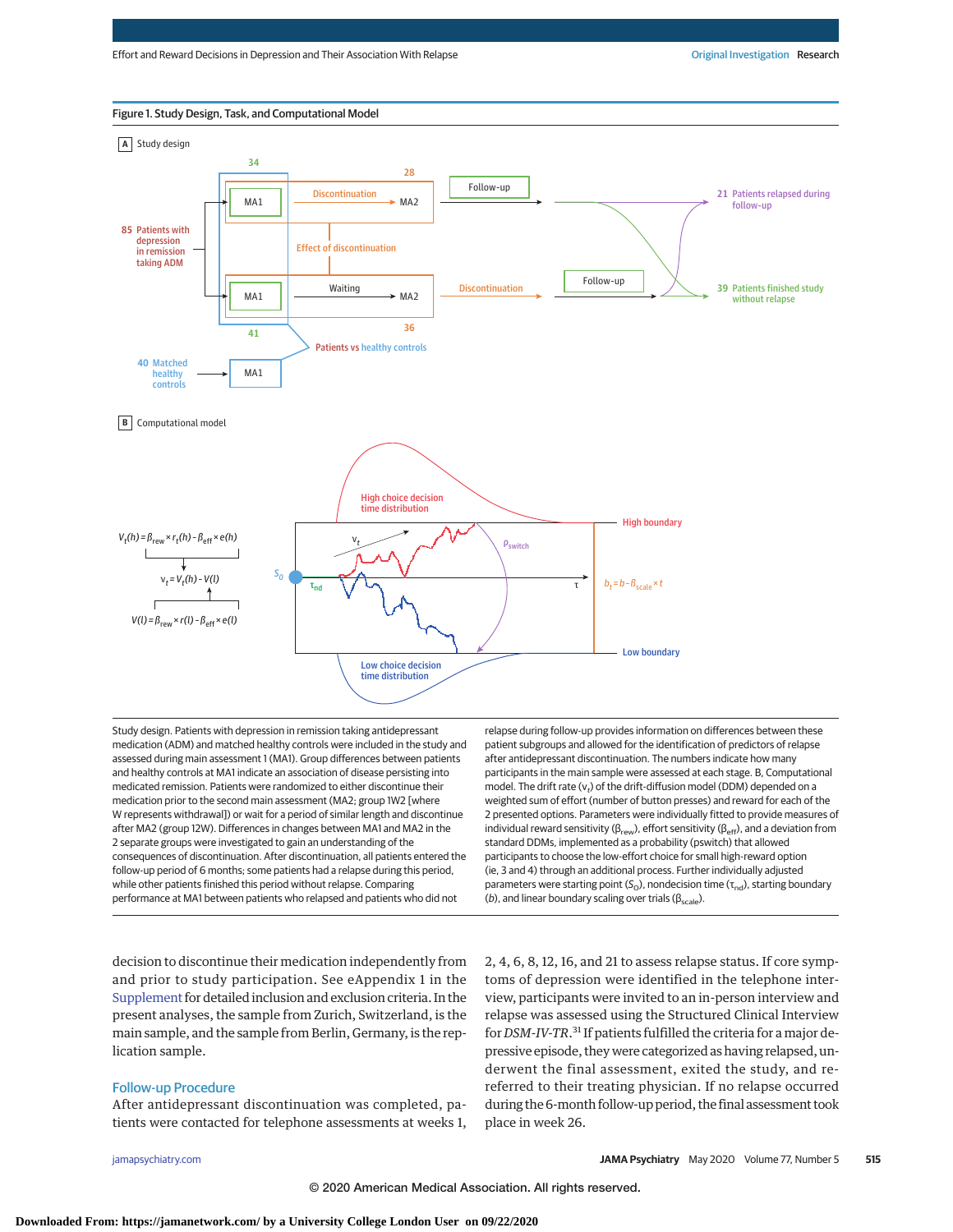follow-up

without relapse

#### Figure 1. Study Design, Task, and Computational Model **85** Patients with depression in remission taking ADM **21** Patients relapsed during **39** Patients finished study **40** Matched healthy controls **A** Study design M<sub>A1</sub> M<sub>A1</sub> M<sub>A2</sub> MA<sub>2</sub> M<sub>A1</sub> **34 41 28 36** Discontinuation Waiting Patients vs healthy controls Effect of discontinuation Follow-up Discontinuation **Follow-up B** Computational model



Study design. Patients with depression in remission taking antidepressant medication (ADM) and matched healthy controls were included in the study and assessed during main assessment 1 (MA1). Group differences between patients and healthy controls at MA1 indicate an association of disease persisting into medicated remission. Patients were randomized to either discontinue their medication prior to the second main assessment (MA2; group 1W2 [where W represents withdrawal]) or wait for a period of similar length and discontinue after MA2 (group 12W). Differences in changes between MA1 and MA2 in the 2 separate groups were investigated to gain an understanding of the consequences of discontinuation. After discontinuation, all patients entered the follow-up period of 6 months; some patients had a relapse during this period, while other patients finished this period without relapse. Comparing performance at MA1 between patients who relapsed and patients who did not

relapse during follow-up provides information on differences between these patient subgroups and allowed for the identification of predictors of relapse after antidepressant discontinuation. The numbers indicate how many participants in the main sample were assessed at each stage. B, Computational model. The drift rate ( $v_t$ ) of the drift-diffusion model (DDM) depended on a weighted sum of effort (number of button presses) and reward for each of the 2 presented options. Parameters were individually fitted to provide measures of individual reward sensitivity ( $β_{rew}$ ), effort sensitivity ( $β_{eff}$ ), and a deviation from standard DDMs, implemented as a probability (pswitch) that allowed participants to choose the low-effort choice for small high-reward option (ie, 3 and 4) through an additional process. Further individually adjusted parameters were starting point ( $S_0$ ), nondecision time ( $\tau_{nd}$ ), starting boundary (b), and linear boundary scaling over trials ( $\beta_{\text{scale}}$ ).

decision to discontinue their medication independently from and prior to study participation. See eAppendix 1 in the [Supplement](https://jamanetwork.com/journals/jama/fullarticle/10.1001/jamapsychiatry.2019.4971?utm_campaign=articlePDF%26utm_medium=articlePDFlink%26utm_source=articlePDF%26utm_content=jamapsychiatry.2019.4971) for detailed inclusion and exclusion criteria. In the present analyses, the sample from Zurich, Switzerland, is the main sample, and the sample from Berlin, Germany, is the replication sample.

## Follow-up Procedure

After antidepressant discontinuation was completed, patients were contacted for telephone assessments at weeks 1,

2, 4, 6, 8, 12, 16, and 21 to assess relapse status. If core symptoms of depression were identified in the telephone interview, participants were invited to an in-person interview and relapse was assessed using the Structured Clinical Interview for *DSM-IV-TR*. <sup>31</sup> If patients fulfilled the criteria for a major depressive episode, they were categorized as having relapsed, underwent the final assessment, exited the study, and rereferred to their treating physician. If no relapse occurred during the 6-month follow-up period, the final assessment took place in week 26.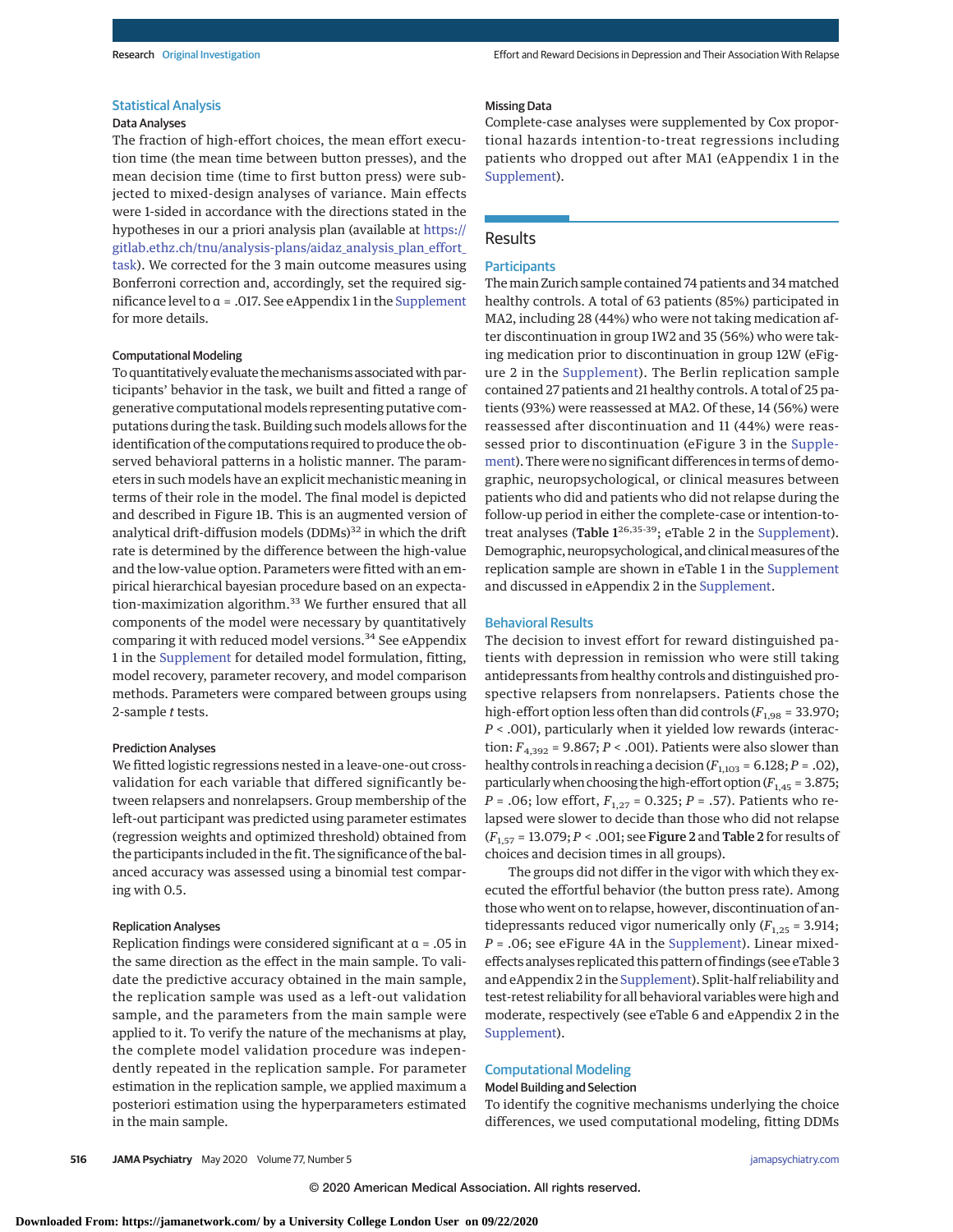#### Statistical Analysis

#### Data Analyses

The fraction of high-effort choices, the mean effort execution time (the mean time between button presses), and the mean decision time (time to first button press) were subjected to mixed-design analyses of variance. Main effects were 1-sided in accordance with the directions stated in the hypotheses in our a priori analysis plan (available at [https://](https://gitlab.ethz.ch/tnu/analysis-plans/aidaz_analysis_plan_effort_task) [gitlab.ethz.ch/tnu/analysis-plans/aidaz\\_analysis\\_plan\\_effort\\_](https://gitlab.ethz.ch/tnu/analysis-plans/aidaz_analysis_plan_effort_task) [task\)](https://gitlab.ethz.ch/tnu/analysis-plans/aidaz_analysis_plan_effort_task). We corrected for the 3 main outcome measures using Bonferroni correction and, accordingly, set the required significance level to α = .017. See eAppendix 1 in the [Supplement](https://jamanetwork.com/journals/jama/fullarticle/10.1001/jamapsychiatry.2019.4971?utm_campaign=articlePDF%26utm_medium=articlePDFlink%26utm_source=articlePDF%26utm_content=jamapsychiatry.2019.4971) for more details.

## Computational Modeling

To quantitatively evaluate themechanisms associatedwith participants' behavior in the task, we built and fitted a range of generative computational models representing putative computations during the task. Building such models allows for the identification of the computations required to produce the observed behavioral patterns in a holistic manner. The parameters in such models have an explicit mechanistic meaning in terms of their role in the model. The final model is depicted and described in Figure 1B. This is an augmented version of analytical drift-diffusion models  $(DDMs)^{32}$  in which the drift rate is determined by the difference between the high-value and the low-value option. Parameters were fitted with an empirical hierarchical bayesian procedure based on an expectation-maximization algorithm.<sup>33</sup> We further ensured that all components of the model were necessary by quantitatively comparing it with reduced model versions.<sup>34</sup> See eAppendix 1 in the [Supplement](https://jamanetwork.com/journals/jama/fullarticle/10.1001/jamapsychiatry.2019.4971?utm_campaign=articlePDF%26utm_medium=articlePDFlink%26utm_source=articlePDF%26utm_content=jamapsychiatry.2019.4971) for detailed model formulation, fitting, model recovery, parameter recovery, and model comparison methods. Parameters were compared between groups using 2-sample *t* tests.

## Prediction Analyses

We fitted logistic regressions nested in a leave-one-out crossvalidation for each variable that differed significantly between relapsers and nonrelapsers. Group membership of the left-out participant was predicted using parameter estimates (regression weights and optimized threshold) obtained from the participants included in the fit. The significance of the balanced accuracy was assessed using a binomial test comparing with 0.5.

#### Replication Analyses

Replication findings were considered significant at  $\alpha$  = .05 in the same direction as the effect in the main sample. To validate the predictive accuracy obtained in the main sample, the replication sample was used as a left-out validation sample, and the parameters from the main sample were applied to it. To verify the nature of the mechanisms at play, the complete model validation procedure was independently repeated in the replication sample. For parameter estimation in the replication sample, we applied maximum a posteriori estimation using the hyperparameters estimated in the main sample.

#### Missing Data

Complete-case analyses were supplemented by Cox proportional hazards intention-to-treat regressions including patients who dropped out after MA1 (eAppendix 1 in the [Supplement\)](https://jamanetwork.com/journals/jama/fullarticle/10.1001/jamapsychiatry.2019.4971?utm_campaign=articlePDF%26utm_medium=articlePDFlink%26utm_source=articlePDF%26utm_content=jamapsychiatry.2019.4971).

# **Results**

## **Participants**

The main Zurich sample contained 74 patients and 34 matched healthy controls. A total of 63 patients (85%) participated in MA2, including 28 (44%) who were not taking medication after discontinuation in group 1W2 and 35 (56%) who were taking medication prior to discontinuation in group 12W (eFigure 2 in the [Supplement\)](https://jamanetwork.com/journals/jama/fullarticle/10.1001/jamapsychiatry.2019.4971?utm_campaign=articlePDF%26utm_medium=articlePDFlink%26utm_source=articlePDF%26utm_content=jamapsychiatry.2019.4971). The Berlin replication sample contained 27 patients and 21 healthy controls. A total of 25 patients (93%) were reassessed at MA2. Of these, 14 (56%) were reassessed after discontinuation and 11 (44%) were reassessed prior to discontinuation (eFigure 3 in the [Supple](https://jamanetwork.com/journals/jama/fullarticle/10.1001/jamapsychiatry.2019.4971?utm_campaign=articlePDF%26utm_medium=articlePDFlink%26utm_source=articlePDF%26utm_content=jamapsychiatry.2019.4971)[ment\)](https://jamanetwork.com/journals/jama/fullarticle/10.1001/jamapsychiatry.2019.4971?utm_campaign=articlePDF%26utm_medium=articlePDFlink%26utm_source=articlePDF%26utm_content=jamapsychiatry.2019.4971). There were no significant differences in terms of demographic, neuropsychological, or clinical measures between patients who did and patients who did not relapse during the follow-up period in either the complete-case or intention-totreat analyses (Table  $1^{26,35\cdot39}$ ; eTable 2 in the [Supplement\)](https://jamanetwork.com/journals/jama/fullarticle/10.1001/jamapsychiatry.2019.4971?utm_campaign=articlePDF%26utm_medium=articlePDFlink%26utm_source=articlePDF%26utm_content=jamapsychiatry.2019.4971). Demographic, neuropsychological, and clinical measures of the replication sample are shown in eTable 1 in the [Supplement](https://jamanetwork.com/journals/jama/fullarticle/10.1001/jamapsychiatry.2019.4971?utm_campaign=articlePDF%26utm_medium=articlePDFlink%26utm_source=articlePDF%26utm_content=jamapsychiatry.2019.4971) and discussed in eAppendix 2 in the [Supplement.](https://jamanetwork.com/journals/jama/fullarticle/10.1001/jamapsychiatry.2019.4971?utm_campaign=articlePDF%26utm_medium=articlePDFlink%26utm_source=articlePDF%26utm_content=jamapsychiatry.2019.4971)

## Behavioral Results

The decision to invest effort for reward distinguished patients with depression in remission who were still taking antidepressants from healthy controls and distinguished prospective relapsers from nonrelapsers. Patients chose the high-effort option less often than did controls ( $F_{1,98}$  = 33.970; *P* < .001), particularly when it yielded low rewards (interaction:  $F_{4,392}$  = 9.867;  $P <$  .001). Patients were also slower than healthy controls in reaching a decision  $(F_{1,103} = 6.128; P = .02)$ , particularly when choosing the high-effort option  $(F<sub>1.45</sub> = 3.875)$ ; *P* = .06; low effort, *F*1,27 = 0.325; *P* = .57). Patients who relapsed were slower to decide than those who did not relapse (*F*1,57 = 13.079; *P* < .001; see Figure 2 and Table 2 for results of choices and decision times in all groups).

The groups did not differ in the vigor with which they executed the effortful behavior (the button press rate). Among those who went on to relapse, however, discontinuation of antidepressants reduced vigor numerically only  $(F_{1,25} = 3.914;$ *P* = .06; see eFigure 4A in the [Supplement\)](https://jamanetwork.com/journals/jama/fullarticle/10.1001/jamapsychiatry.2019.4971?utm_campaign=articlePDF%26utm_medium=articlePDFlink%26utm_source=articlePDF%26utm_content=jamapsychiatry.2019.4971). Linear mixedeffects analyses replicated this pattern of findings (see eTable 3 and eAppendix 2 in the [Supplement\)](https://jamanetwork.com/journals/jama/fullarticle/10.1001/jamapsychiatry.2019.4971?utm_campaign=articlePDF%26utm_medium=articlePDFlink%26utm_source=articlePDF%26utm_content=jamapsychiatry.2019.4971). Split-half reliability and test-retest reliability for all behavioral variables were high and moderate, respectively (see eTable 6 and eAppendix 2 in the [Supplement\)](https://jamanetwork.com/journals/jama/fullarticle/10.1001/jamapsychiatry.2019.4971?utm_campaign=articlePDF%26utm_medium=articlePDFlink%26utm_source=articlePDF%26utm_content=jamapsychiatry.2019.4971).

## Computational Modeling

## Model Building and Selection

To identify the cognitive mechanisms underlying the choice differences, we used computational modeling, fitting DDMs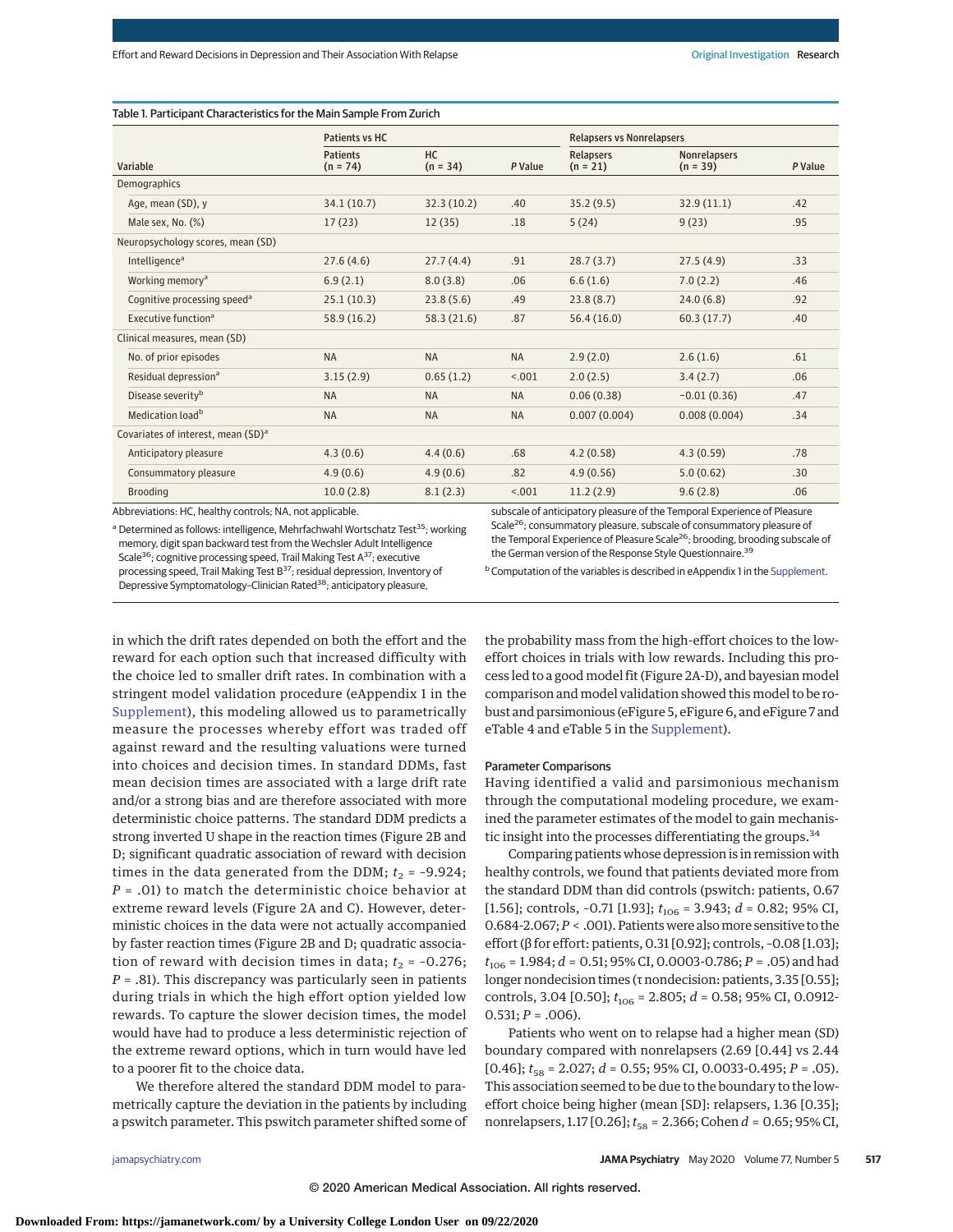|                                                | Patients vs HC                |                         |           | <b>Relapsers vs Nonrelapsers</b> |                                   |         |
|------------------------------------------------|-------------------------------|-------------------------|-----------|----------------------------------|-----------------------------------|---------|
| Variable                                       | <b>Patients</b><br>$(n = 74)$ | <b>HC</b><br>$(n = 34)$ | P Value   | Relapsers<br>$(n = 21)$          | <b>Nonrelapsers</b><br>$(n = 39)$ | P Value |
| Demographics                                   |                               |                         |           |                                  |                                   |         |
| Age, mean (SD), y                              | 34.1(10.7)                    | 32.3(10.2)              | .40       | 35.2(9.5)                        | 32.9(11.1)                        | .42     |
| Male sex, No. (%)                              | 17(23)                        | 12(35)                  | .18       | 5(24)                            | 9(23)                             | .95     |
| Neuropsychology scores, mean (SD)              |                               |                         |           |                                  |                                   |         |
| Intelligence <sup>a</sup>                      | 27.6(4.6)                     | 27.7(4.4)               | .91       | 28.7(3.7)                        | 27.5(4.9)                         | .33     |
| Working memory <sup>a</sup>                    | 6.9(2.1)                      | 8.0(3.8)                | .06       | 6.6(1.6)                         | 7.0(2.2)                          | .46     |
| Cognitive processing speed <sup>a</sup>        | 25.1(10.3)                    | 23.8(5.6)               | .49       | 23.8(8.7)                        | 24.0(6.8)                         | .92     |
| Executive function <sup>a</sup>                | 58.9 (16.2)                   | 58.3 (21.6)             | .87       | 56.4 (16.0)                      | 60.3(17.7)                        | .40     |
| Clinical measures, mean (SD)                   |                               |                         |           |                                  |                                   |         |
| No. of prior episodes                          | <b>NA</b>                     | <b>NA</b>               | <b>NA</b> | 2.9(2.0)                         | 2.6(1.6)                          | .61     |
| Residual depression <sup>a</sup>               | 3.15(2.9)                     | 0.65(1.2)               | < .001    | 2.0(2.5)                         | 3.4(2.7)                          | .06     |
| Disease severity <sup>b</sup>                  | <b>NA</b>                     | <b>NA</b>               | <b>NA</b> | 0.06(0.38)                       | $-0.01(0.36)$                     | .47     |
| Medication load <sup>b</sup>                   | <b>NA</b>                     | <b>NA</b>               | <b>NA</b> | 0.007(0.004)                     | 0.008(0.004)                      | .34     |
| Covariates of interest, mean (SD) <sup>a</sup> |                               |                         |           |                                  |                                   |         |
| Anticipatory pleasure                          | 4.3(0.6)                      | 4.4(0.6)                | .68       | 4.2(0.58)                        | 4.3(0.59)                         | .78     |
| Consummatory pleasure                          | 4.9(0.6)                      | 4.9(0.6)                | .82       | 4.9(0.56)                        | 5.0(0.62)                         | .30     |
| <b>Brooding</b>                                | 10.0(2.8)                     | 8.1(2.3)                | < .001    | 11.2(2.9)                        | 9.6(2.8)                          | .06     |

Table 1. Participant Characteristics for the Main Sample From Zurich

Abbreviations: HC, healthy controls; NA, not applicable.

<sup>a</sup> Determined as follows: intelligence, Mehrfachwahl Wortschatz Test<sup>35</sup>; working memory, digit span backward test from the Wechsler Adult Intelligence Scale<sup>36</sup>; cognitive processing speed, Trail Making Test A<sup>37</sup>; executive processing speed, Trail Making Test B<sup>37</sup>; residual depression, Inventory of Depressive Symptomatology-Clinician Rated<sup>38</sup>; anticipatory pleasure,

subscale of anticipatory pleasure of the Temporal Experience of Pleasure Scale<sup>26</sup>; consummatory pleasure, subscale of consummatory pleasure of the Temporal Experience of Pleasure Scale<sup>26</sup>; brooding, brooding subscale of the German version of the Response Style Questionnaire.<sup>39</sup>

<sup>b</sup> Computation of the variables is described in eAppendix 1 in the [Supplement.](https://jamanetwork.com/journals/jama/fullarticle/10.1001/jamapsychiatry.2019.4971?utm_campaign=articlePDF%26utm_medium=articlePDFlink%26utm_source=articlePDF%26utm_content=jamapsychiatry.2019.4971)

in which the drift rates depended on both the effort and the reward for each option such that increased difficulty with the choice led to smaller drift rates. In combination with a stringent model validation procedure (eAppendix 1 in the [Supplement\)](https://jamanetwork.com/journals/jama/fullarticle/10.1001/jamapsychiatry.2019.4971?utm_campaign=articlePDF%26utm_medium=articlePDFlink%26utm_source=articlePDF%26utm_content=jamapsychiatry.2019.4971), this modeling allowed us to parametrically measure the processes whereby effort was traded off against reward and the resulting valuations were turned into choices and decision times. In standard DDMs, fast mean decision times are associated with a large drift rate and/or a strong bias and are therefore associated with more deterministic choice patterns. The standard DDM predicts a strong inverted U shape in the reaction times (Figure 2B and D; significant quadratic association of reward with decision times in the data generated from the DDM;  $t_2$  = -9.924; *P* = .01) to match the deterministic choice behavior at extreme reward levels (Figure 2A and C). However, deterministic choices in the data were not actually accompanied by faster reaction times (Figure 2B and D; quadratic association of reward with decision times in data;  $t_2$  = -0.276; *P* = .81). This discrepancy was particularly seen in patients during trials in which the high effort option yielded low rewards. To capture the slower decision times, the model would have had to produce a less deterministic rejection of the extreme reward options, which in turn would have led to a poorer fit to the choice data.

We therefore altered the standard DDM model to parametrically capture the deviation in the patients by including a pswitch parameter. This pswitch parameter shifted some of the probability mass from the high-effort choices to the loweffort choices in trials with low rewards. Including this process led to a good model fit (Figure 2A-D), and bayesian model comparison and model validation showed this model to be robust and parsimonious (eFigure 5, eFigure 6, and eFigure 7 and eTable 4 and eTable 5 in the [Supplement\)](https://jamanetwork.com/journals/jama/fullarticle/10.1001/jamapsychiatry.2019.4971?utm_campaign=articlePDF%26utm_medium=articlePDFlink%26utm_source=articlePDF%26utm_content=jamapsychiatry.2019.4971).

#### Parameter Comparisons

Having identified a valid and parsimonious mechanism through the computational modeling procedure, we examined the parameter estimates of the model to gain mechanistic insight into the processes differentiating the groups.<sup>34</sup>

Comparing patients whose depression is in remission with healthy controls, we found that patients deviated more from the standard DDM than did controls (pswitch: patients, 0.67 [1.56]; controls, -0.71 [1.93];  $t_{106}$  = 3.943;  $d$  = 0.82; 95% CI, 0.684-2.067;*P* < .001). Patients were alsomore sensitive to the effort (β for effort: patients, 0.31 [0.92]; controls, –0.08 [1.03]; *t*<sup>106</sup> = 1.984; *d* = 0.51; 95% CI, 0.0003-0.786; *P* = .05) and had longer nondecision times (τ nondecision: patients, 3.35 [0.55]; controls, 3.04 [0.50];  $t_{106}$  = 2.805; *d* = 0.58; 95% CI, 0.0912- $0.531: P = .006$ ).

Patients who went on to relapse had a higher mean (SD) boundary compared with nonrelapsers (2.69 [0.44] vs 2.44  $[0.46]$ ;  $t_{58} = 2.027$ ;  $d = 0.55$ ; 95% CI, 0.0033-0.495;  $P = .05$ ). This association seemed to be due to the boundary to the loweffort choice being higher (mean [SD]: relapsers, 1.36 [0.35]; nonrelapsers, 1.17 [0.26];  $t_{58}$  = 2.366; Cohen *d* = 0.65; 95% CI,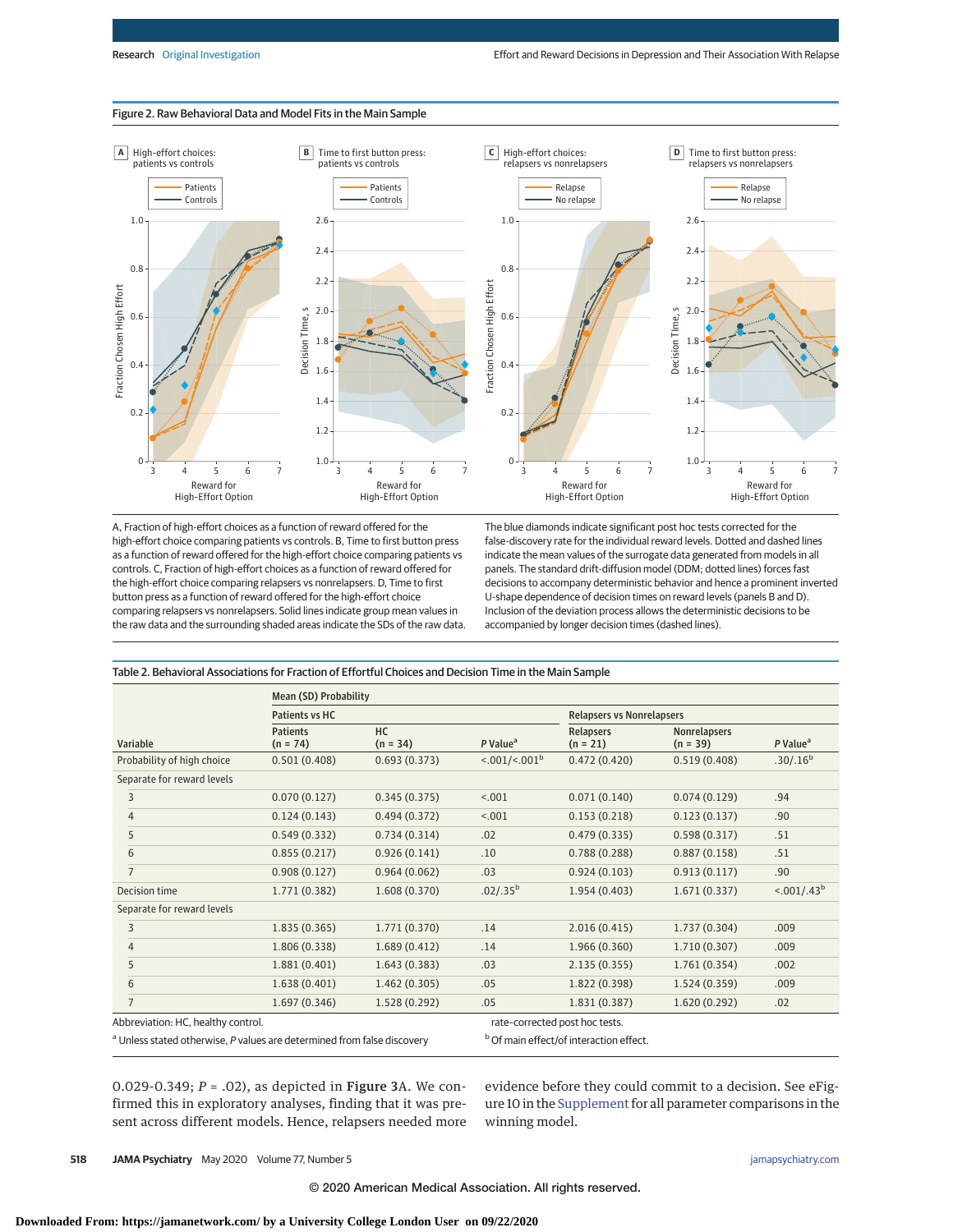

Figure 2. Raw Behavioral Data and Model Fits in the Main Sample

A, Fraction of high-effort choices as a function of reward offered for the high-effort choice comparing patients vs controls. B, Time to first button press as a function of reward offered for the high-effort choice comparing patients vs controls. C, Fraction of high-effort choices as a function of reward offered for the high-effort choice comparing relapsers vs nonrelapsers. D, Time to first button press as a function of reward offered for the high-effort choice comparing relapsers vs nonrelapsers. Solid lines indicate group mean values in the raw data and the surrounding shaded areas indicate the SDs of the raw data.

The blue diamonds indicate significant post hoc tests corrected for the false-discovery rate for the individual reward levels. Dotted and dashed lines indicate the mean values of the surrogate data generated from models in all panels. The standard drift-diffusion model (DDM; dotted lines) forces fast decisions to accompany deterministic behavior and hence a prominent inverted U-shape dependence of decision times on reward levels (panels B and D). Inclusion of the deviation process allows the deterministic decisions to be accompanied by longer decision times (dashed lines).

#### Table 2. Behavioral Associations for Fraction of Effortful Choices and Decision Time in the Main Sample

|                                                                                    | Mean (SD) Probability         |                         |                                |                                                    |                                   |                      |  |  |  |
|------------------------------------------------------------------------------------|-------------------------------|-------------------------|--------------------------------|----------------------------------------------------|-----------------------------------|----------------------|--|--|--|
|                                                                                    | Patients vs HC                |                         |                                | <b>Relapsers vs Nonrelapsers</b>                   |                                   |                      |  |  |  |
| Variable                                                                           | <b>Patients</b><br>$(n = 74)$ | <b>HC</b><br>$(n = 34)$ | $P$ Value <sup>a</sup>         | <b>Relapsers</b><br>$(n = 21)$                     | <b>Nonrelapsers</b><br>$(n = 39)$ | P Value <sup>a</sup> |  |  |  |
| Probability of high choice                                                         | 0.501(0.408)                  | 0.693(0.373)            | $< 0.01 / < 0.01$ <sup>b</sup> | 0.472(0.420)                                       | 0.519(0.408)                      | .30/.16 <sup>b</sup> |  |  |  |
| Separate for reward levels                                                         |                               |                         |                                |                                                    |                                   |                      |  |  |  |
| 3                                                                                  | 0.070(0.127)                  | 0.345(0.375)            | 15.001                         | 0.071(0.140)                                       | 0.074(0.129)                      | .94                  |  |  |  |
| 4                                                                                  | 0.124(0.143)                  | 0.494(0.372)            | < .001                         | 0.153(0.218)                                       | 0.123(0.137)                      | .90                  |  |  |  |
| 5                                                                                  | 0.549(0.332)                  | 0.734(0.314)            | .02                            | 0.479(0.335)                                       | 0.598(0.317)                      | .51                  |  |  |  |
| 6                                                                                  | 0.855(0.217)                  | 0.926(0.141)            | .10                            | 0.788(0.288)                                       | 0.887(0.158)                      | .51                  |  |  |  |
| $\overline{7}$                                                                     | 0.908(0.127)                  | 0.964(0.062)            | .03                            | 0.924(0.103)                                       | 0.913(0.117)                      | .90                  |  |  |  |
| Decision time                                                                      | 1.771(0.382)                  | 1.608(0.370)            | $.02/.35^b$                    | 1.954(0.403)                                       | 1.671(0.337)                      | $< 0.01 / .43^b$     |  |  |  |
| Separate for reward levels                                                         |                               |                         |                                |                                                    |                                   |                      |  |  |  |
| 3                                                                                  | 1.835(0.365)                  | 1.771(0.370)            | .14                            | 2.016(0.415)                                       | 1.737(0.304)                      | .009                 |  |  |  |
| $\overline{4}$                                                                     | 1.806 (0.338)                 | 1.689(0.412)            | .14                            | 1.966 (0.360)                                      | 1.710 (0.307)                     | .009                 |  |  |  |
| 5                                                                                  | 1.881(0.401)                  | 1.643(0.383)            | .03                            | 2.135(0.355)                                       | 1.761(0.354)                      | .002                 |  |  |  |
| 6                                                                                  | 1.638(0.401)                  | 1.462(0.305)            | .05                            | 1.822 (0.398)                                      | 1.524(0.359)                      | .009                 |  |  |  |
| $\overline{7}$                                                                     | 1.697(0.346)                  | 1.528(0.292)            | .05                            | 1.831(0.387)                                       | 1.620(0.292)                      | .02                  |  |  |  |
| Abbreviation: HC, healthy control.                                                 |                               |                         |                                | rate-corrected post hoc tests.                     |                                   |                      |  |  |  |
| <sup>a</sup> Unless stated otherwise, P values are determined from false discovery |                               |                         |                                | <sup>b</sup> Of main effect/of interaction effect. |                                   |                      |  |  |  |

0.029-0.349; *P* = .02), as depicted in Figure 3A. We confirmed this in exploratory analyses, finding that it was present across different models. Hence, relapsers needed more evidence before they could commit to a decision. See eFig-ure 10 in the [Supplement](https://jamanetwork.com/journals/jama/fullarticle/10.1001/jamapsychiatry.2019.4971?utm_campaign=articlePDF%26utm_medium=articlePDFlink%26utm_source=articlePDF%26utm_content=jamapsychiatry.2019.4971) for all parameter comparisons in the winning model.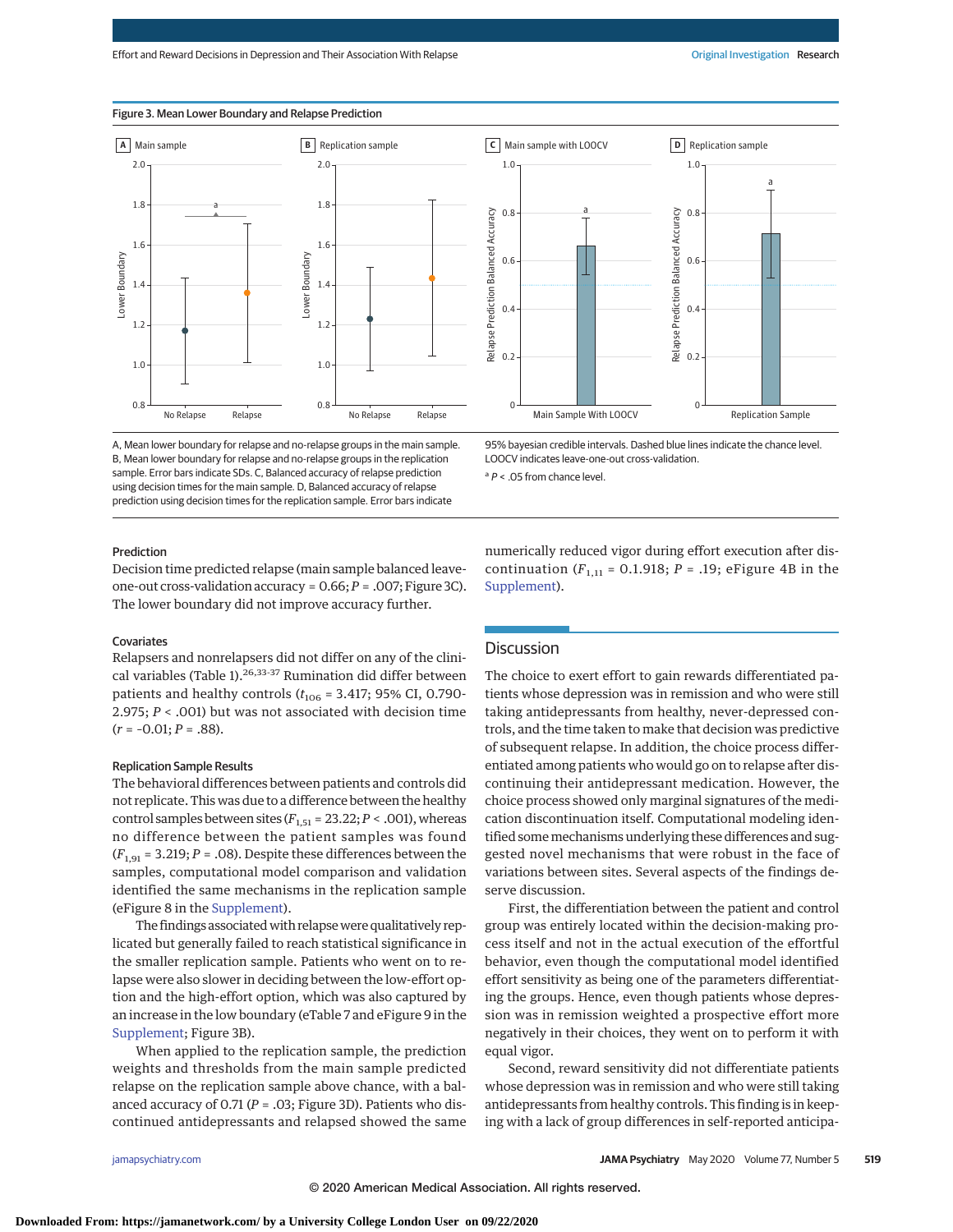## Figure 3. Mean Lower Boundary and Relapse Prediction



A, Mean lower boundary for relapse and no-relapse groups in the main sample. B, Mean lower boundary for relapse and no-relapse groups in the replication sample. Error bars indicate SDs. C, Balanced accuracy of relapse prediction using decision times for the main sample. D, Balanced accuracy of relapse prediction using decision times for the replication sample. Error bars indicate

95% bayesian credible intervals. Dashed blue lines indicate the chance level. LOOCV indicates leave-one-out cross-validation.

 $a P$  < .05 from chance level.

#### Prediction

Decision time predicted relapse (main sample balanced leaveone-out cross-validation accuracy = 0.66;*P* = .007; Figure 3C). The lower boundary did not improve accuracy further.

## Covariates

Relapsers and nonrelapsers did not differ on any of the clinical variables (Table 1).<sup>26,33-37</sup> Rumination did differ between patients and healthy controls ( $t_{106}$  = 3.417; 95% CI, 0.790-2.975; *P* < .001) but was not associated with decision time  $(r = -0.01; P = .88)$ .

## Replication Sample Results

The behavioral differences between patients and controls did not replicate. This was due to a difference between the healthy control samples between sites  $(F_{1,51} = 23.22; P < .001)$ , whereas no difference between the patient samples was found  $(F_{1,91} = 3.219; P = .08)$ . Despite these differences between the samples, computational model comparison and validation identified the same mechanisms in the replication sample (eFigure 8 in the [Supplement\)](https://jamanetwork.com/journals/jama/fullarticle/10.1001/jamapsychiatry.2019.4971?utm_campaign=articlePDF%26utm_medium=articlePDFlink%26utm_source=articlePDF%26utm_content=jamapsychiatry.2019.4971).

The findings associated with relapse were qualitatively replicated but generally failed to reach statistical significance in the smaller replication sample. Patients who went on to relapse were also slower in deciding between the low-effort option and the high-effort option, which was also captured by an increase in the low boundary (eTable 7 and eFigure 9 in the [Supplement;](https://jamanetwork.com/journals/jama/fullarticle/10.1001/jamapsychiatry.2019.4971?utm_campaign=articlePDF%26utm_medium=articlePDFlink%26utm_source=articlePDF%26utm_content=jamapsychiatry.2019.4971) Figure 3B).

When applied to the replication sample, the prediction weights and thresholds from the main sample predicted relapse on the replication sample above chance, with a balanced accuracy of 0.71 (*P* = .03; Figure 3D). Patients who discontinued antidepressants and relapsed showed the same numerically reduced vigor during effort execution after discontinuation ( $F_{1,11}$  = 0.1.918; *P* = .19; eFigure 4B in the [Supplement\)](https://jamanetwork.com/journals/jama/fullarticle/10.1001/jamapsychiatry.2019.4971?utm_campaign=articlePDF%26utm_medium=articlePDFlink%26utm_source=articlePDF%26utm_content=jamapsychiatry.2019.4971).

# Discussion

The choice to exert effort to gain rewards differentiated patients whose depression was in remission and who were still taking antidepressants from healthy, never-depressed controls, and the time taken to make that decision was predictive of subsequent relapse. In addition, the choice process differentiated among patients who would go on to relapse after discontinuing their antidepressant medication. However, the choice process showed only marginal signatures of the medication discontinuation itself. Computational modeling identified some mechanisms underlying these differences and suggested novel mechanisms that were robust in the face of variations between sites. Several aspects of the findings deserve discussion.

First, the differentiation between the patient and control group was entirely located within the decision-making process itself and not in the actual execution of the effortful behavior, even though the computational model identified effort sensitivity as being one of the parameters differentiating the groups. Hence, even though patients whose depression was in remission weighted a prospective effort more negatively in their choices, they went on to perform it with equal vigor.

Second, reward sensitivity did not differentiate patients whose depression was in remission and who were still taking antidepressants from healthy controls. This finding is in keeping with a lack of group differences in self-reported anticipa-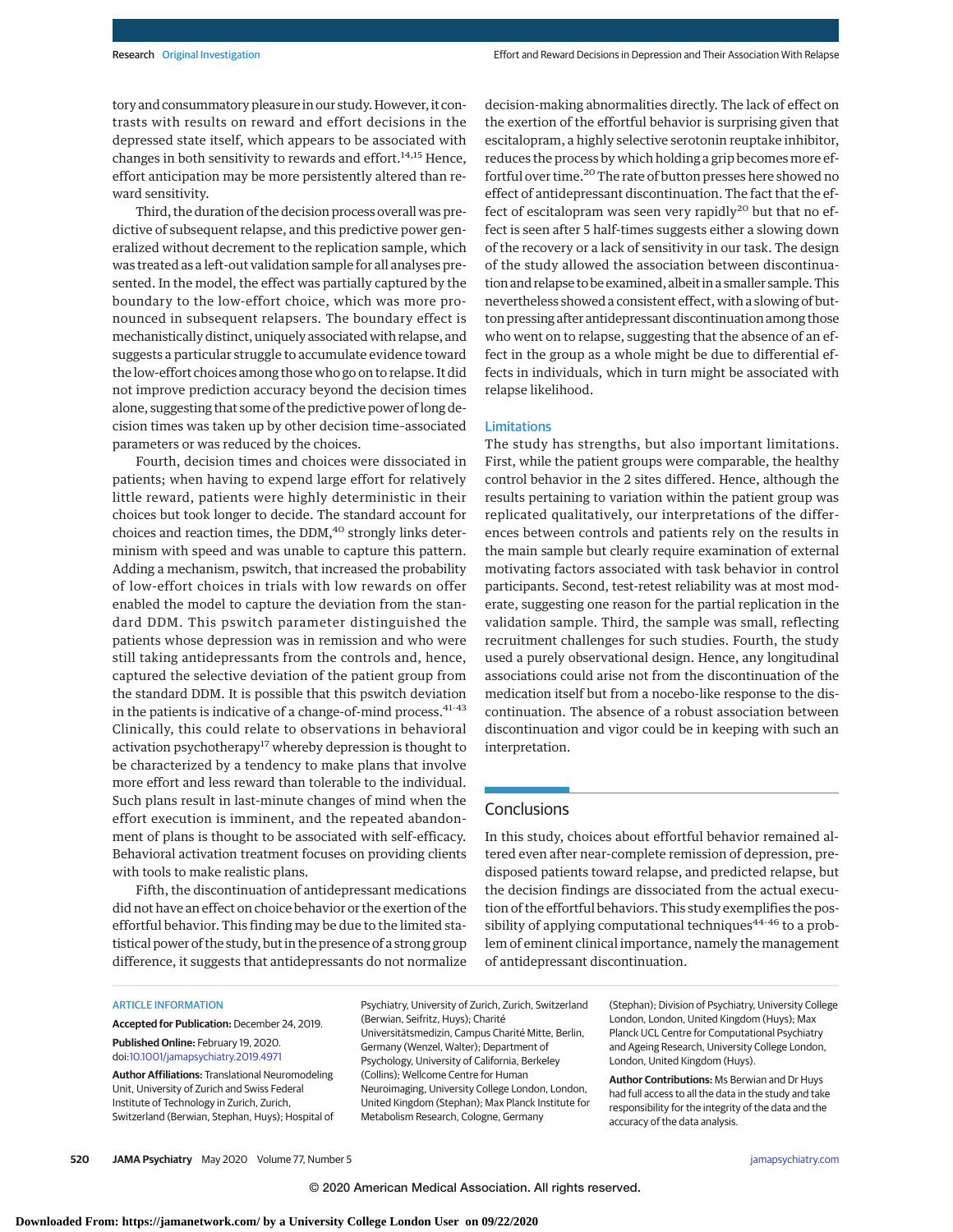tory and consummatory pleasure in our study.However, it contrasts with results on reward and effort decisions in the depressed state itself, which appears to be associated with changes in both sensitivity to rewards and effort.<sup>14,15</sup> Hence, effort anticipation may be more persistently altered than reward sensitivity.

Third, the duration of the decision process overall was predictive of subsequent relapse, and this predictive power generalized without decrement to the replication sample, which was treated as a left-out validation sample for all analyses presented. In the model, the effect was partially captured by the boundary to the low-effort choice, which was more pronounced in subsequent relapsers. The boundary effect is mechanistically distinct, uniquely associated with relapse, and suggests a particular struggle to accumulate evidence toward the low-effort choices among those who go on to relapse. It did not improve prediction accuracy beyond the decision times alone, suggesting that some of the predictive power of long decision times was taken up by other decision time–associated parameters or was reduced by the choices.

Fourth, decision times and choices were dissociated in patients; when having to expend large effort for relatively little reward, patients were highly deterministic in their choices but took longer to decide. The standard account for choices and reaction times, the  $DDM<sub>1</sub><sup>40</sup>$  strongly links determinism with speed and was unable to capture this pattern. Adding a mechanism, pswitch, that increased the probability of low-effort choices in trials with low rewards on offer enabled the model to capture the deviation from the standard DDM. This pswitch parameter distinguished the patients whose depression was in remission and who were still taking antidepressants from the controls and, hence, captured the selective deviation of the patient group from the standard DDM. It is possible that this pswitch deviation in the patients is indicative of a change-of-mind process.<sup>41-43</sup> Clinically, this could relate to observations in behavioral activation psychotherapy<sup>17</sup> whereby depression is thought to be characterized by a tendency to make plans that involve more effort and less reward than tolerable to the individual. Such plans result in last-minute changes of mind when the effort execution is imminent, and the repeated abandonment of plans is thought to be associated with self-efficacy. Behavioral activation treatment focuses on providing clients with tools to make realistic plans.

Fifth, the discontinuation of antidepressant medications did not have an effect on choice behavior or the exertion of the effortful behavior. This finding may be due to the limited statistical power of the study, but in the presence of a strong group difference, it suggests that antidepressants do not normalize decision-making abnormalities directly. The lack of effect on the exertion of the effortful behavior is surprising given that escitalopram, a highly selective serotonin reuptake inhibitor, reduces the process by which holding a grip becomes more effortful over time.<sup>20</sup> The rate of button presses here showed no effect of antidepressant discontinuation. The fact that the effect of escitalopram was seen very rapidly<sup>20</sup> but that no effect is seen after 5 half-times suggests either a slowing down of the recovery or a lack of sensitivity in our task. The design of the study allowed the association between discontinuation and relapse to be examined, albeit in a smaller sample. This nevertheless showed a consistent effect, with a slowing of button pressing after antidepressant discontinuation among those who went on to relapse, suggesting that the absence of an effect in the group as a whole might be due to differential effects in individuals, which in turn might be associated with relapse likelihood.

## Limitations

The study has strengths, but also important limitations. First, while the patient groups were comparable, the healthy control behavior in the 2 sites differed. Hence, although the results pertaining to variation within the patient group was replicated qualitatively, our interpretations of the differences between controls and patients rely on the results in the main sample but clearly require examination of external motivating factors associated with task behavior in control participants. Second, test-retest reliability was at most moderate, suggesting one reason for the partial replication in the validation sample. Third, the sample was small, reflecting recruitment challenges for such studies. Fourth, the study used a purely observational design. Hence, any longitudinal associations could arise not from the discontinuation of the medication itself but from a nocebo-like response to the discontinuation. The absence of a robust association between discontinuation and vigor could be in keeping with such an interpretation.

# **Conclusions**

In this study, choices about effortful behavior remained altered even after near-complete remission of depression, predisposed patients toward relapse, and predicted relapse, but the decision findings are dissociated from the actual execution of the effortful behaviors. This study exemplifies the possibility of applying computational techniques $44-46$  to a problem of eminent clinical importance, namely the management of antidepressant discontinuation.

#### ARTICLE INFORMATION

**Accepted for Publication:** December 24, 2019. **Published Online:** February 19, 2020. doi[:10.1001/jamapsychiatry.2019.4971](https://jamanetwork.com/journals/jama/fullarticle/10.1001/jamapsychiatry.2019.4971?utm_campaign=articlePDF%26utm_medium=articlePDFlink%26utm_source=articlePDF%26utm_content=jamapsychiatry.2019.4971)

**Author Affiliations:** Translational Neuromodeling Unit, University of Zurich and Swiss Federal Institute of Technology in Zurich, Zurich, Switzerland (Berwian, Stephan, Huys); Hospital of Psychiatry, University of Zurich, Zurich, Switzerland (Berwian, Seifritz, Huys); Charité Universitätsmedizin, Campus Charité Mitte, Berlin, Germany (Wenzel, Walter); Department of Psychology, University of California, Berkeley (Collins); Wellcome Centre for Human Neuroimaging, University College London, London, United Kingdom (Stephan); Max Planck Institute for Metabolism Research, Cologne, Germany

(Stephan); Division of Psychiatry, University College London, London, United Kingdom (Huys); Max Planck UCL Centre for Computational Psychiatry and Ageing Research, University College London, London, United Kingdom (Huys).

**Author Contributions:** Ms Berwian and Dr Huys had full access to all the data in the study and take responsibility for the integrity of the data and the accuracy of the data analysis.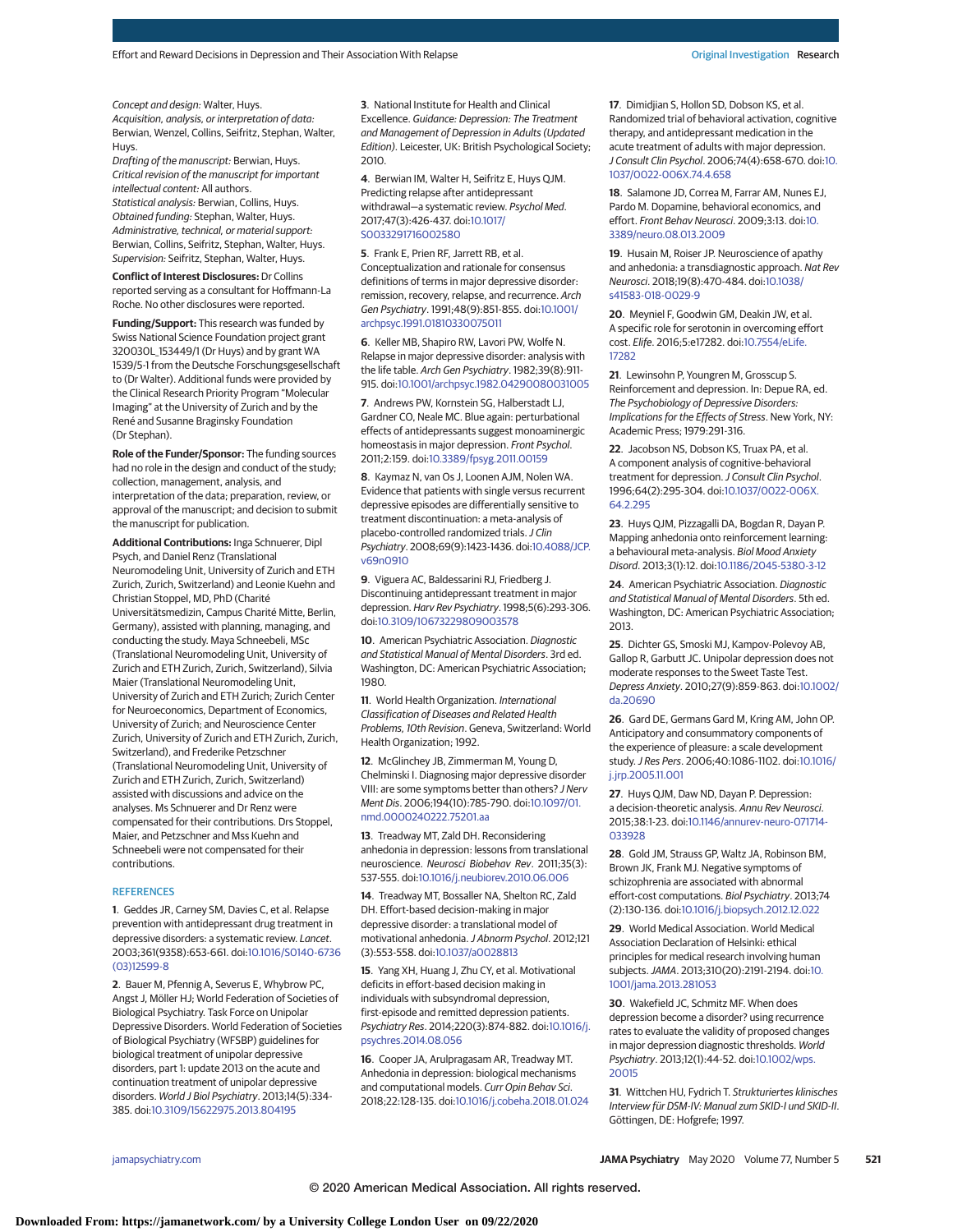Concept and design: Walter, Huys. Acquisition, analysis, or interpretation of data: Berwian, Wenzel, Collins, Seifritz, Stephan, Walter, Huys.

Drafting of the manuscript: Berwian, Huys. Critical revision of the manuscript for important intellectual content: All authors. Statistical analysis: Berwian, Collins, Huys.

Obtained funding: Stephan, Walter, Huys. Administrative, technical, or material support: Berwian, Collins, Seifritz, Stephan, Walter, Huys. Supervision: Seifritz, Stephan, Walter, Huys.

**Conflict of Interest Disclosures:** Dr Collins reported serving as a consultant for Hoffmann-La Roche. No other disclosures were reported.

**Funding/Support:** This research was funded by Swiss National Science Foundation project grant 320030L\_153449/1 (Dr Huys) and by grant WA 1539/5-1 from the Deutsche Forschungsgesellschaft to (Dr Walter). Additional funds were provided by the Clinical Research Priority Program "Molecular Imaging" at the University of Zurich and by the René and Susanne Braginsky Foundation (Dr Stephan).

**Role of the Funder/Sponsor:** The funding sources had no role in the design and conduct of the study; collection, management, analysis, and interpretation of the data; preparation, review, or approval of the manuscript; and decision to submit the manuscript for publication.

**Additional Contributions:** Inga Schnuerer, Dipl Psych, and Daniel Renz (Translational Neuromodeling Unit, University of Zurich and ETH Zurich, Zurich, Switzerland) and Leonie Kuehn and Christian Stoppel, MD, PhD (Charité Universitätsmedizin, Campus Charité Mitte, Berlin, Germany), assisted with planning, managing, and conducting the study. Maya Schneebeli, MSc (Translational Neuromodeling Unit, University of Zurich and ETH Zurich, Zurich, Switzerland), Silvia Maier (Translational Neuromodeling Unit, University of Zurich and ETH Zurich; Zurich Center for Neuroeconomics, Department of Economics, University of Zurich; and Neuroscience Center Zurich, University of Zurich and ETH Zurich, Zurich, Switzerland), and Frederike Petzschner (Translational Neuromodeling Unit, University of Zurich and ETH Zurich, Zurich, Switzerland) assisted with discussions and advice on the analyses. Ms Schnuerer and Dr Renz were compensated for their contributions. Drs Stoppel, Maier, and Petzschner and Mss Kuehn and Schneebeli were not compensated for their contributions.

#### **REFERENCES**

**1**. Geddes JR, Carney SM, Davies C, et al. Relapse prevention with antidepressant drug treatment in depressive disorders: a systematic review. Lancet. 2003;361(9358):653-661. doi[:10.1016/S0140-6736](https://dx.doi.org/10.1016/S0140-6736(03)12599-8) [\(03\)12599-8](https://dx.doi.org/10.1016/S0140-6736(03)12599-8)

**2**. Bauer M, Pfennig A, Severus E, Whybrow PC, Angst J, Möller HJ; World Federation of Societies of Biological Psychiatry. Task Force on Unipolar Depressive Disorders. World Federation of Societies of Biological Psychiatry (WFSBP) guidelines for biological treatment of unipolar depressive disorders, part 1: update 2013 on the acute and continuation treatment of unipolar depressive disorders. World J Biol Psychiatry. 2013;14(5):334- 385. doi[:10.3109/15622975.2013.804195](https://dx.doi.org/10.3109/15622975.2013.804195)

**3**. National Institute for Health and Clinical Excellence. Guidance: Depression: The Treatment and Management of Depression in Adults (Updated Edition). Leicester, UK: British Psychological Society; 2010.

**4**. Berwian IM, Walter H, Seifritz E, Huys QJM. Predicting relapse after antidepressant withdrawal—a systematic review. Psychol Med. 2017;47(3):426-437. doi[:10.1017/](https://dx.doi.org/10.1017/S0033291716002580) [S0033291716002580](https://dx.doi.org/10.1017/S0033291716002580)

**5**. Frank E, Prien RF, Jarrett RB, et al. Conceptualization and rationale for consensus definitions of terms in major depressive disorder: remission, recovery, relapse, and recurrence. Arch Gen Psychiatry. 1991;48(9):851-855. doi[:10.1001/](https://jamanetwork.com/journals/jama/fullarticle/10.1001/archpsyc.1991.01810330075011?utm_campaign=articlePDF%26utm_medium=articlePDFlink%26utm_source=articlePDF%26utm_content=jamapsychiatry.2019.4971) [archpsyc.1991.01810330075011](https://jamanetwork.com/journals/jama/fullarticle/10.1001/archpsyc.1991.01810330075011?utm_campaign=articlePDF%26utm_medium=articlePDFlink%26utm_source=articlePDF%26utm_content=jamapsychiatry.2019.4971)

**6**. Keller MB, Shapiro RW, Lavori PW, Wolfe N. Relapse in major depressive disorder: analysis with the life table. Arch Gen Psychiatry. 1982;39(8):911- 915. doi[:10.1001/archpsyc.1982.04290080031005](https://jamanetwork.com/journals/jama/fullarticle/10.1001/archpsyc.1982.04290080031005?utm_campaign=articlePDF%26utm_medium=articlePDFlink%26utm_source=articlePDF%26utm_content=jamapsychiatry.2019.4971)

**7**. Andrews PW, Kornstein SG, Halberstadt LJ, Gardner CO, Neale MC. Blue again: perturbational effects of antidepressants suggest monoaminergic homeostasis in major depression. Front Psychol. 2011;2:159. doi[:10.3389/fpsyg.2011.00159](https://dx.doi.org/10.3389/fpsyg.2011.00159)

**8**. Kaymaz N, van Os J, Loonen AJM, Nolen WA. Evidence that patients with single versus recurrent depressive episodes are differentially sensitive to treatment discontinuation: a meta-analysis of placebo-controlled randomized trials. J Clin Psychiatry. 2008;69(9):1423-1436. doi[:10.4088/JCP.](https://dx.doi.org/10.4088/JCP.v69n0910) [v69n0910](https://dx.doi.org/10.4088/JCP.v69n0910)

**9**. Viguera AC, Baldessarini RJ, Friedberg J. Discontinuing antidepressant treatment in major depression. Harv Rev Psychiatry. 1998;5(6):293-306. doi[:10.3109/10673229809003578](https://dx.doi.org/10.3109/10673229809003578)

**10**. American Psychiatric Association. Diagnostic and Statistical Manual of Mental Disorders. 3rd ed. Washington, DC: American Psychiatric Association; 1980.

**11**. World Health Organization. International Classification of Diseases and Related Health Problems, 10th Revision. Geneva, Switzerland: World Health Organization; 1992.

**12**. McGlinchey JB, Zimmerman M, Young D, Chelminski I. Diagnosing major depressive disorder VIII: are some symptoms better than others? J Nerv Ment Dis. 2006;194(10):785-790. doi[:10.1097/01.](https://dx.doi.org/10.1097/01.nmd.0000240222.75201.aa) [nmd.0000240222.75201.aa](https://dx.doi.org/10.1097/01.nmd.0000240222.75201.aa)

**13**. Treadway MT, Zald DH. Reconsidering anhedonia in depression: lessons from translational neuroscience. Neurosci Biobehav Rev. 2011;35(3): 537-555. doi[:10.1016/j.neubiorev.2010.06.006](https://dx.doi.org/10.1016/j.neubiorev.2010.06.006)

**14**. Treadway MT, Bossaller NA, Shelton RC, Zald DH. Effort-based decision-making in major depressive disorder: a translational model of motivational anhedonia.J Abnorm Psychol. 2012;121 (3):553-558. doi[:10.1037/a0028813](https://dx.doi.org/10.1037/a0028813)

**15**. Yang XH, Huang J, Zhu CY, et al. Motivational deficits in effort-based decision making in individuals with subsyndromal depression, first-episode and remitted depression patients. Psychiatry Res. 2014;220(3):874-882. doi[:10.1016/j.](https://dx.doi.org/10.1016/j.psychres.2014.08.056) [psychres.2014.08.056](https://dx.doi.org/10.1016/j.psychres.2014.08.056)

**16**. Cooper JA, Arulpragasam AR, Treadway MT. Anhedonia in depression: biological mechanisms and computational models. Curr Opin Behav Sci. 2018;22:128-135. doi[:10.1016/j.cobeha.2018.01.024](https://dx.doi.org/10.1016/j.cobeha.2018.01.024)

**17**. Dimidjian S, Hollon SD, Dobson KS, et al. Randomized trial of behavioral activation, cognitive therapy, and antidepressant medication in the acute treatment of adults with major depression. J Consult Clin Psychol. 2006;74(4):658-670. doi[:10.](https://dx.doi.org/10.1037/0022-006X.74.4.658) [1037/0022-006X.74.4.658](https://dx.doi.org/10.1037/0022-006X.74.4.658)

**18**. Salamone JD, Correa M, Farrar AM, Nunes EJ, Pardo M. Dopamine, behavioral economics, and effort. Front Behav Neurosci. 2009;3:13. doi[:10.](https://dx.doi.org/10.3389/neuro.08.013.2009) [3389/neuro.08.013.2009](https://dx.doi.org/10.3389/neuro.08.013.2009)

**19**. Husain M, Roiser JP. Neuroscience of apathy and anhedonia: a transdiagnostic approach. Nat Rev Neurosci. 2018;19(8):470-484. doi[:10.1038/](https://dx.doi.org/10.1038/s41583-018-0029-9) [s41583-018-0029-9](https://dx.doi.org/10.1038/s41583-018-0029-9)

**20**. Meyniel F, Goodwin GM, Deakin JW, et al. A specific role for serotonin in overcoming effort cost. Elife. 2016;5:e17282. doi[:10.7554/eLife.](https://dx.doi.org/10.7554/eLife.17282) [17282](https://dx.doi.org/10.7554/eLife.17282)

**21**. Lewinsohn P, Youngren M, Grosscup S. Reinforcement and depression. In: Depue RA, ed. The Psychobiology of Depressive Disorders: Implications for the Effects of Stress. New York, NY: Academic Press; 1979:291-316.

**22**. Jacobson NS, Dobson KS, Truax PA, et al. A component analysis of cognitive-behavioral treatment for depression.J Consult Clin Psychol. 1996;64(2):295-304. doi[:10.1037/0022-006X.](https://dx.doi.org/10.1037/0022-006X.64.2.295) [64.2.295](https://dx.doi.org/10.1037/0022-006X.64.2.295)

**23**. Huys QJM, Pizzagalli DA, Bogdan R, Dayan P. Mapping anhedonia onto reinforcement learning: a behavioural meta-analysis. Biol Mood Anxiety Disord. 2013;3(1):12. doi[:10.1186/2045-5380-3-12](https://dx.doi.org/10.1186/2045-5380-3-12)

**24**. American Psychiatric Association. Diagnostic and Statistical Manual of Mental Disorders. 5th ed. Washington, DC: American Psychiatric Association; 2013.

**25**. Dichter GS, Smoski MJ, Kampov-Polevoy AB, Gallop R, Garbutt JC. Unipolar depression does not moderate responses to the Sweet Taste Test. Depress Anxiety. 2010;27(9):859-863. doi[:10.1002/](https://dx.doi.org/10.1002/da.20690) [da.20690](https://dx.doi.org/10.1002/da.20690)

**26**. Gard DE, Germans Gard M, Kring AM, John OP. Anticipatory and consummatory components of the experience of pleasure: a scale development study.J Res Pers. 2006;40:1086-1102. doi[:10.1016/](https://dx.doi.org/10.1016/j.jrp.2005.11.001) [j.jrp.2005.11.001](https://dx.doi.org/10.1016/j.jrp.2005.11.001)

**27**. Huys QJM, Daw ND, Dayan P. Depression: a decision-theoretic analysis. Annu Rev Neurosci. 2015;38:1-23. doi[:10.1146/annurev-neuro-071714-](https://dx.doi.org/10.1146/annurev-neuro-071714-033928) [033928](https://dx.doi.org/10.1146/annurev-neuro-071714-033928)

**28**. Gold JM, Strauss GP, Waltz JA, Robinson BM, Brown JK, Frank MJ. Negative symptoms of schizophrenia are associated with abnormal effort-cost computations. Biol Psychiatry. 2013;74 (2):130-136. doi[:10.1016/j.biopsych.2012.12.022](https://dx.doi.org/10.1016/j.biopsych.2012.12.022)

**29**. World Medical Association. World Medical Association Declaration of Helsinki: ethical principles for medical research involving human subjects.JAMA. 2013;310(20):2191-2194. doi[:10.](https://jamanetwork.com/journals/jama/fullarticle/10.1001/jama.2013.281053?utm_campaign=articlePDF%26utm_medium=articlePDFlink%26utm_source=articlePDF%26utm_content=jamapsychiatry.2019.4971) [1001/jama.2013.281053](https://jamanetwork.com/journals/jama/fullarticle/10.1001/jama.2013.281053?utm_campaign=articlePDF%26utm_medium=articlePDFlink%26utm_source=articlePDF%26utm_content=jamapsychiatry.2019.4971)

**30**. Wakefield JC, Schmitz MF. When does depression become a disorder? using recurrence rates to evaluate the validity of proposed changes in major depression diagnostic thresholds. World Psychiatry. 2013;12(1):44-52. doi[:10.1002/wps.](https://dx.doi.org/10.1002/wps.20015) [20015](https://dx.doi.org/10.1002/wps.20015)

**31**. Wittchen HU, Fydrich T. Strukturiertes klinisches Interview für DSM-IV: Manual zum SKID-I und SKID-II. Göttingen, DE: Hofgrefe; 1997.